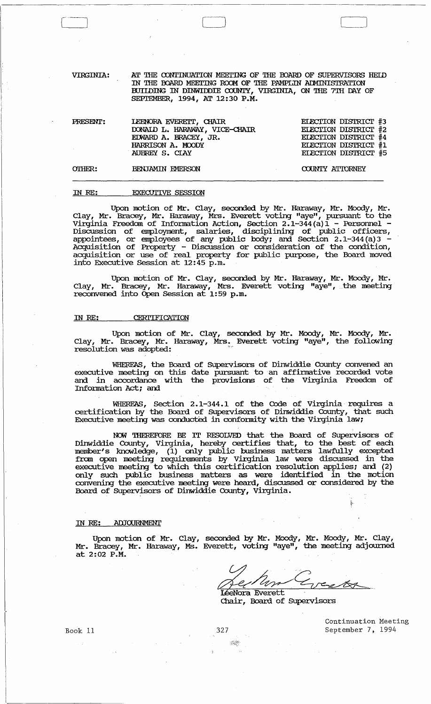VIRGINIA: Nr 'mE CONrINUATION MEEl'1NG OF 'mE OOARD OF SUPERVISORS HEID IN THE BOARD MEETING ROOM OF THE PAMPLIN AIMINISTRATION BUIIDING IN DINWIDDIE COUNTY, VIRGINIA, ON THE 7TH DAY OF SEPTEMBER, 1994, AT 12:30 P.M.

| PRESENT: | LEENORA EVERETT, CHAIR<br>DONAID L. HARAWAY, VICE-CHAIR<br>EDWARD A. BRACEY, JR. | ELECTION DISTRICT #3<br>ELECTION DISTRICT #2<br>ELECTION DISTRICT #4 |
|----------|----------------------------------------------------------------------------------|----------------------------------------------------------------------|
| OTHER:   | HARRISON A. MOODY<br>AUBREY S. CLAY<br>BENJAMIN EMERSON                          | ELECTION DISTRICT #1<br>ELECTION DISTRICT #5<br>COUNTY ATTORNEY      |

## IN RE: EXECUTIVE SESSION

Upon motion of Mr. Clay, seconded by Mr. Haraway, Mr. Moody, Mr. Clay, Mr. Bracey, Mr. Haraway, Mrs. Everett voting "aye", pursuant to the Virginia Freedom of Information Action, Section 2.1-344(a)1 - Personnel - Discussion of employroont, salaries, disciplining of public officers, appointees, or employees of any public body; and Section 2.1-344(a)3 - Acquisition of Property - Discussion or consideration of the condition, acquisition or use of real property for public purpose, the Board moved into Executive Session at 12:45 p.m.

Upon motion of Mr. Clay, seconded by Mr. Haraway, Mr. Moody, Mr. Clay, Mr. Bracey, Mr. Haraway, Mrs. Everett voting "aye", .the meeting reconvened into Open Session at 1:59 p.m.

## IN RE: CERTIFICATION

Upon motion of Mr. Clay, seconded by Mr. Moody, Mr. Moody, Mr. Clay, Mr. Bracey, Mr. Haraway, Mrs. Everett voting "aye", the following resolution was adopted:

WHEREAS, the Board of SUpervisors of Dinwiddie County convened an executive meeting on this date pursuant to an affirmative recorded vote and in accordance with the provisions of the Virginia Freedom of Information Act; and

WHEREAS, Section 2.1-344.1 of the Code of Virginia requires a certification by the Board of SUpervisors of Dinwiddie County, that such Executive meeting was conducted in conformity with the Virginia law;

NCM 'IHEREFORE BE IT RESOLVED that the Board of SUpervisors of Dinwiddie County, Virginia, hereby certifies that, to the best of each member's knowledge, (1) only public business matters lawfully excepted from open meeting requirements by Virginia law were discussed in the executive meeting to which this certification resolution applies; and (2) only such public business matters as were identified in the motion convening the executive meeting were heard, discussed or considered by the Board of SUpervisors of Dinwiddie County, virginia.

## IN RE: ADJOORNMENT

Upon motion of Mr. Clay, seconded by Mr. Moody, Mr. Moody, Mr. Clay, Mr. Bracey, Mr. Haraway, Ms. Everett, voting "aye", the meeting adjourned at 2:02 P.M.

LéeNora Everett Recham Greets

Chair, Board of SUpervisors

Book 11

327

 $\leq 2\sigma$ 

Continuation Meeting September 7, 1994